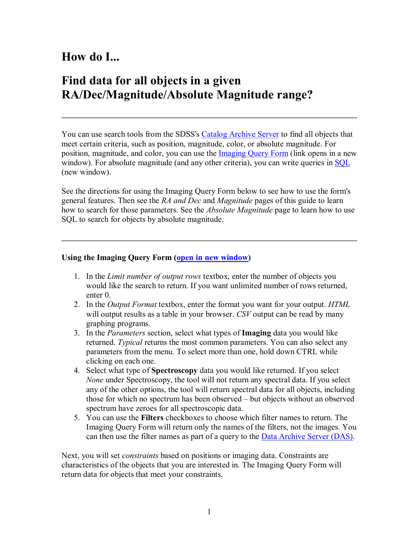## **How do I...**

### **Find data for all objects in a given RA/Dec/Magnitude/Absolute Magnitude range?**

You can use search tools from the SDSS's Catalog Archive Server to find all objects that meet certain criteria, such as position, magnitude, color, or absolute magnitude. For position, magnitude, and color, you can use the **Imaging Query Form** (link opens in a new window). For absolute magnitude (and any other criteria), you can write queries in SQL (new window).

See the directions for using the Imaging Query Form below to see how to use the form's general features. Then see the *RA and Dec* and *Magnitude* pages of this guide to learn how to search for those parameters. See the *Absolute Magnitude* page to learn how to use SQL to search for objects by absolute magnitude.

#### **Using the Imaging Query Form (open in new window)**

- 1. In the *Limit number of output rows* textbox, enter the number of objects you would like the search to return. If you want unlimited number of rows returned, enter 0.
- 2. In the *Output Format* textbox, enter the format you want for your output. *HTML* will output results as a table in your browser. *CSV* output can be read by many graphing programs.
- 3. In the *Parameters* section, select what types of **Imaging** data you would like returned. *Typical* returns the most common parameters. You can also select any parameters from the menu. To select more than one, hold down CTRL while clicking on each one.
- 4. Select what type of **Spectroscopy** data you would like returned. If you select *None* under Spectroscopy, the tool will not return any spectral data. If you select any of the other options, the tool will return spectral data for all objects, including those for which no spectrum has been observed – but objects without an observed spectrum have zeroes for all spectroscopic data.
- 5. You can use the **Filters** checkboxes to choose which filter names to return. The Imaging Query Form will return only the names of the filters, not the images. You can then use the filter names as part of a query to the Data Archive Server (DAS).

Next, you will set *constraints* based on positions or imaging data. Constraints are characteristics of the objects that you are interested in. The Imaging Query Form will return data for objects that meet your constraints.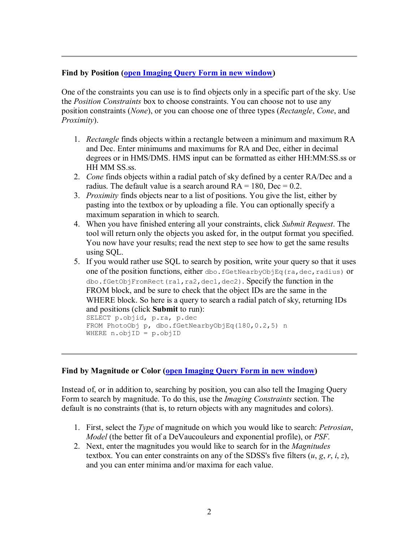#### **Find by Position (open Imaging Query Form in new window)**

One of the constraints you can use is to find objects only in a specific part of the sky. Use the *Position Constraints* box to choose constraints. You can choose not to use any position constraints (*None*), or you can choose one of three types (*Rectangle*, *Cone*, and *Proximity*).

- 1. *Rectangle* finds objects within a rectangle between a minimum and maximum RA and Dec. Enter minimums and maximums for RA and Dec, either in decimal degrees or in HMS/DMS. HMS input can be formatted as either HH:MM:SS.ss or HH MM SS.ss.
- 2. *Cone* finds objects within a radial patch of sky defined by a center RA/Dec and a radius. The default value is a search around  $RA = 180$ ,  $Dec = 0.2$ .
- 3. *Proximity* finds objects near to a list of positions. You give the list, either by pasting into the textbox or by uploading a file. You can optionally specify a maximum separation in which to search.
- 4. When you have finished entering all your constraints, click *Submit Request*. The tool will return only the objects you asked for, in the output format you specified. You now have your results; read the next step to see how to get the same results using SQL.
- 5. If you would rather use SQL to search by position, write your query so that it uses one of the position functions, either dbo. fGetNearbyObjEq(ra, dec, radius) or dbo.fGetObjFromRect(ra1,ra2,dec1,dec2). Specify the function in the FROM block, and be sure to check that the object IDs are the same in the WHERE block. So here is a query to search a radial patch of sky, returning IDs and positions (click **Submit** to run):

```
SELECT p.objid, p.ra, p.dec 
FROM PhotoObj p, dbo.fGetNearbyObjEq(180,0.2,5) n
WHERE n.objID = p.objID
```
#### **Find by Magnitude or Color (open Imaging Query Form in new window)**

Instead of, or in addition to, searching by position, you can also tell the Imaging Query Form to search by magnitude. To do this, use the *Imaging Constraints* section. The default is no constraints (that is, to return objects with any magnitudes and colors).

- 1. First, select the *Type* of magnitude on which you would like to search: *Petrosian*, *Model* (the better fit of a DeVaucouleurs and exponential profile), or *PSF*.
- 2. Next, enter the magnitudes you would like to search for in the *Magnitudes* textbox. You can enter constraints on any of the SDSS's five filters  $(u, g, r, i, z)$ , and you can enter minima and/or maxima for each value.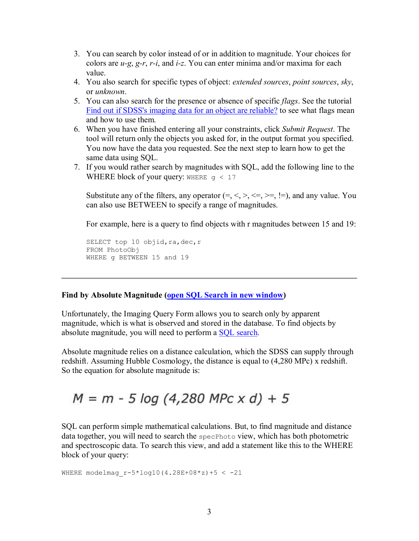- 3. You can search by color instead of or in addition to magnitude. Your choices for colors are *u-g, g-r, r-i,* and *i-z.* You can enter minima and/or maxima for each value.
- 4. You also search for specific types of object: *extended sources*, *point sources*, *sky*, or *unknown*.
- 5. You can also search for the presence or absence of specific *flags*. See the tutorial Find out if SDSS's imaging data for an object are reliable? to see what flags mean and how to use them.
- 6. When you have finished entering all your constraints, click *Submit Request*. The tool will return only the objects you asked for, in the output format you specified. You now have the data you requested. See the next step to learn how to get the same data using SQL.
- 7. If you would rather search by magnitudes with SQL, add the following line to the WHERE block of your query: WHERE  $q < 17$

Substitute any of the filters, any operator  $(=, <, >, \leq, >=, !=)$ , and any value. You can also use BETWEEN to specify a range of magnitudes.

For example, here is a query to find objects with r magnitudes between 15 and 19:

SELECT top 10 objid, ra, dec, r FROM PhotoObj WHERE g BETWEEN 15 and 19

### **Find by Absolute Magnitude (open SQL Search in new window)**

Unfortunately, the Imaging Query Form allows you to search only by apparent magnitude, which is what is observed and stored in the database. To find objects by absolute magnitude, you will need to perform a SQL search.

Absolute magnitude relies on a distance calculation, which the SDSS can supply through redshift. Assuming Hubble Cosmology, the distance is equal to (4,280 MPc) x redshift. So the equation for absolute magnitude is:

# $M = m - 5 \log (4,280 \text{ Mpc} \times d) + 5$

SQL can perform simple mathematical calculations. But, to find magnitude and distance data together, you will need to search the specPhoto view, which has both photometric and spectroscopic data. To search this view, and add a statement like this to the WHERE block of your query:

WHERE modelmag r-5\*log10(4.28E+08\*z)+5 < -21